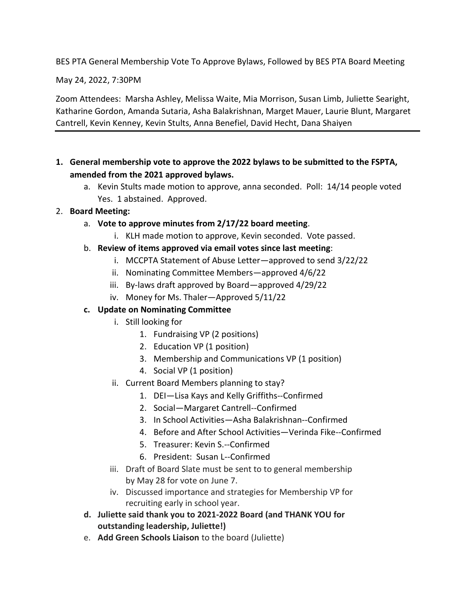BES PTA General Membership Vote To Approve Bylaws, Followed by BES PTA Board Meeting

May 24, 2022, 7:30PM

Zoom Attendees: Marsha Ashley, Melissa Waite, Mia Morrison, Susan Limb, Juliette Searight, Katharine Gordon, Amanda Sutaria, Asha Balakrishnan, Marget Mauer, Laurie Blunt, Margaret Cantrell, Kevin Kenney, Kevin Stults, Anna Benefiel, David Hecht, Dana Shaiyen

- **1. General membership vote to approve the 2022 bylaws to be submitted to the FSPTA, amended from the 2021 approved bylaws.**
	- a. Kevin Stults made motion to approve, anna seconded. Poll: 14/14 people voted Yes. 1 abstained. Approved.
- 2. **Board Meeting:**
	- a. **Vote to approve minutes from 2/17/22 board meeting**.
		- i. KLH made motion to approve, Kevin seconded. Vote passed.
	- b. **Review of items approved via email votes since last meeting**:
		- i. MCCPTA Statement of Abuse Letter—approved to send 3/22/22
		- ii. Nominating Committee Members—approved 4/6/22
		- iii. By-laws draft approved by Board—approved 4/29/22
		- iv. Money for Ms. Thaler—Approved 5/11/22

## **c. Update on Nominating Committee**

- i. Still looking for
	- 1. Fundraising VP (2 positions)
	- 2. Education VP (1 position)
	- 3. Membership and Communications VP (1 position)
	- 4. Social VP (1 position)
- ii. Current Board Members planning to stay?
	- 1. DEI—Lisa Kays and Kelly Griffiths--Confirmed
	- 2. Social—Margaret Cantrell--Confirmed
	- 3. In School Activities—Asha Balakrishnan--Confirmed
	- 4. Before and After School Activities—Verinda Fike--Confirmed
	- 5. Treasurer: Kevin S.--Confirmed
	- 6. President: Susan L--Confirmed
- iii. Draft of Board Slate must be sent to to general membership by May 28 for vote on June 7.
- iv. Discussed importance and strategies for Membership VP for recruiting early in school year.
- **d. Juliette said thank you to 2021-2022 Board (and THANK YOU for outstanding leadership, Juliette!)**
- e. **Add Green Schools Liaison** to the board (Juliette)